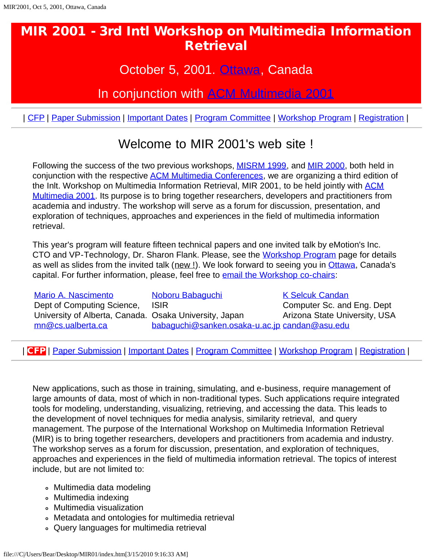## October 5, 2001. [Ottawa,](javascript:if(confirm() Canada

In conjunction with [ACM Multimedia 2001](javascript:if(confirm()

<span id="page-0-1"></span>| [CFP](#page-0-0) | [Paper Submission](#page-1-0) | [Important Dates](#page-1-1) | [Program Committee](#page-1-2) | [Workshop Program](#page-3-0) | [Registration](javascript:if(confirm() |

# Welcome to MIR 2001's web site !

Following the success of the two previous workshops, **MISRM 1999**, and **MIR 2000**, both held in conjunction with the respective [ACM Multimedia Conferences,](javascript:if(confirm() we are organizing a third edition of the Inlt. Workshop on Multimedia Information Retrieval, MIR 2001, to be held jointly with [ACM](javascript:if(confirm() [Multimedia 2001.](javascript:if(confirm() Its purpose is to bring together researchers, developers and practitioners from academia and industry. The workshop will serve as a forum for discussion, presentation, and exploration of techniques, approaches and experiences in the field of multimedia information retrieval.

This year's program will feature fifteen technical papers and one invited talk by eMotion's Inc. CTO and VP-Technology, Dr. Sharon Flank. Please, see the [Workshop Program](#page-3-0) page for details as well as slides from the invited talk (new !). We look forward to seeing you in [Ottawa,](javascript:if(confirm() Canada's capital. For further information, please, feel free to **email the Workshop co-chairs**:

[Mario A. Nascimento](javascript:if(confirm() Dept of Computing Science, University of Alberta, Canada. Osaka University, Japan [mn@cs.ualberta.ca](mailto:mn@cs.ualberta.ca)

[Noboru Babaguchi](javascript:if(confirm() ISIR [babaguchi@sanken.osaka-u.ac.jp](mailto:babaguchi@sanken.osaka-u.ac.jp) [candan@asu.edu](mailto:candan@asu.edu)

[K Selcuk Candan](javascript:if(confirm() Computer Sc. and Eng. Dept Arizona State University, USA

<span id="page-0-0"></span>| CFP | [Paper Submission](#page-1-0) | [Important Dates](#page-1-1) | [Program Committee](#page-1-2) | [Workshop Program](#page-3-0) | [Registration](javascript:if(confirm() |

New applications, such as those in training, simulating, and e-business, require management of large amounts of data, most of which in non-traditional types. Such applications require integrated tools for modeling, understanding, visualizing, retrieving, and accessing the data. This leads to the development of novel techniques for media analysis, similarity retrieval, and query management. The purpose of the International Workshop on Multimedia Information Retrieval (MIR) is to bring together researchers, developers and practitioners from academia and industry. The workshop serves as a forum for discussion, presentation, and exploration of techniques, approaches and experiences in the field of multimedia information retrieval. The topics of interest include, but are not limited to:

- Multimedia data modeling
- Multimedia indexing
- Multimedia visualization
- Metadata and ontologies for multimedia retrieval
- Query languages for multimedia retrieval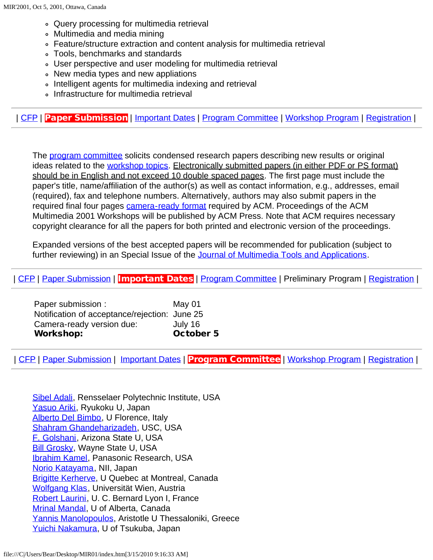- Query processing for multimedia retrieval
- Multimedia and media mining
- Feature/structure extraction and content analysis for multimedia retrieval
- Tools, benchmarks and standards
- User perspective and user modeling for multimedia retrieval
- New media types and new appliations
- Intelligent agents for multimedia indexing and retrieval
- Infrastructure for multimedia retrieval

<span id="page-1-0"></span>| [CFP](#page-0-0) | Paper Submission | [Important Dates](#page-1-1) | [Program Committee](#page-1-2) | [Workshop Program](#page-3-0) | [Registration](javascript:if(confirm() |

The **program committee** solicits condensed research papers describing new results or original ideas related to the [workshop topics](#page-0-0). Electronically submitted papers (in either PDF or PS format) should be in English and not exceed 10 double spaced pages. The first page must include the paper's title, name/affiliation of the author(s) as well as contact information, e.g., addresses, email (required), fax and telephone numbers. Alternatively, authors may also submit papers in the required final four pages [camera-ready format](javascript:if(confirm() required by ACM. Proceedings of the ACM Multimedia 2001 Workshops will be published by ACM Press. Note that ACM requires necessary copyright clearance for all the papers for both printed and electronic version of the proceedings.

Expanded versions of the best accepted papers will be recommended for publication (subject to further reviewing) in an Special Issue of the [Journal of Multimedia Tools and Applications](javascript:if(confirm().

<span id="page-1-1"></span>| [CFP](#page-0-0) | [Paper Submission](#page-1-0) | Important Dates | [Program Committee](#page-1-2) | Preliminary Program | [Registration](javascript:if(confirm() |

| <b>Workshop:</b>                              | <b>October 5</b> |
|-----------------------------------------------|------------------|
| Camera-ready version due:                     | July 16          |
| Notification of acceptance/rejection: June 25 |                  |
| Paper submission :                            | May 01           |

<span id="page-1-2"></span>| [CFP](#page-0-0) | [Paper Submission](#page-1-0) | [Important Dates](#page-1-1) | Program Committee | [Workshop Program](#page-3-0) | [Registration](javascript:if(confirm() |

[Sibel Adali](mailto:sibel@cs.rpi.edu), Rensselaer Polytechnic Institute, USA [Yasuo Ariki,](mailto:ariki@rins.ryukoku.ac.jp) Ryukoku U, Japan [Alberto Del Bimbo,](mailto:delbimbo@dsi.unifi.it) U Florence, Italy [Shahram Ghandeharizadeh,](mailto:shahram@dblab.usc.edu) USC, USA [F. Golshani](mailto:golshani@asu.edu), Arizona State U, USA **[Bill Grosky,](mailto:grosky@cs.wayne.edu) Wayne State U, USA [Ibrahim Kamel](mailto:ibrahim@Research.Panasonic.com), Panasonic Research, USA** [Norio Katayama](mailto:katayama@nii.ac.jp), NII, Japan **[Brigitte Kerherve](mailto:kerherve.brigitte@uqam.ca), U Quebec at Montreal, Canada** [Wolfgang Klas](mailto:Wolfgang.Klas@univie.ac.at), Universität Wien, Austria [Robert Laurini,](mailto:laurini@lisi.insa-lyon.fr) U. C. Bernard Lyon I, France [Mrinal Mandal,](mailto:mandal@ee.ualberta.ca) U of Alberta, Canada [Yannis Manolopoulos,](mailto:manolopo@ucy.ac.cy) Aristotle U Thessaloniki, Greece [Yuichi Nakamura,](mailto:yuichi@esys.tsukuba.ac.jp) U of Tsukuba, Japan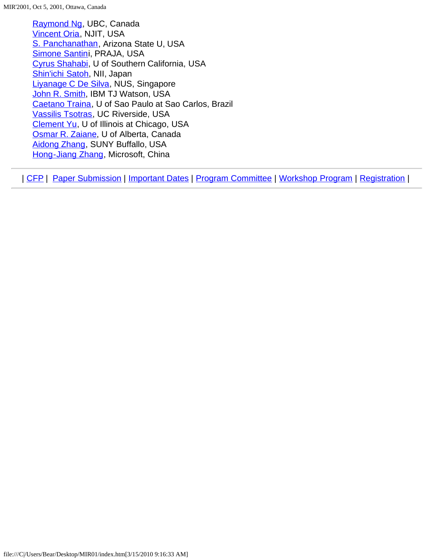[Raymond Ng,](mailto:rng@cs.ubc.ca) UBC, Canada [Vincent Oria,](mailto:oria@homer.njit.edu) NJIT, USA [S. Panchanathan](mailto:panch@asu.edu), Arizona State U, USA [Simone Santini](mailto:ssantini@cs.ucsd.edu), PRAJA, USA [Cyrus Shahabi,](mailto:shahabi@usc.edu) U of Southern California, USA [Shin'ichi Satoh,](mailto:satoh@nii.ac.jp) NII, Japan [Liyanage C De Silva,](mailto:elelcds@nus.edu.sg) NUS, Singapore [John R. Smith](mailto:jrsmith@watson.ibm.com), IBM TJ Watson, USA [Caetano Traina](mailto:caetano@icmc.sc.usp.br), U of Sao Paulo at Sao Carlos, Brazil [Vassilis Tsotras,](mailto:tsotras@cs.ucr.edu) UC Riverside, USA [Clement Yu](mailto:yu@eecs.uic.edu), U of Illinois at Chicago, USA [Osmar R. Zaiane,](mailto:zaiane@cs.ualberta.ca) U of Alberta, Canada [Aidong Zhang](mailto:azhang@cse.buffalo.edu), SUNY Buffallo, USA [Hong-Jiang Zhang,](mailto:hjzhang@microsoft.com) Microsoft, China

| [CFP](#page-0-0) | [Paper Submission](#page-1-0) | [Important Dates](#page-1-1) | [Program Committee](#page-1-2) | [Workshop Program](#page-3-0) | [Registration](javascript:if(confirm() |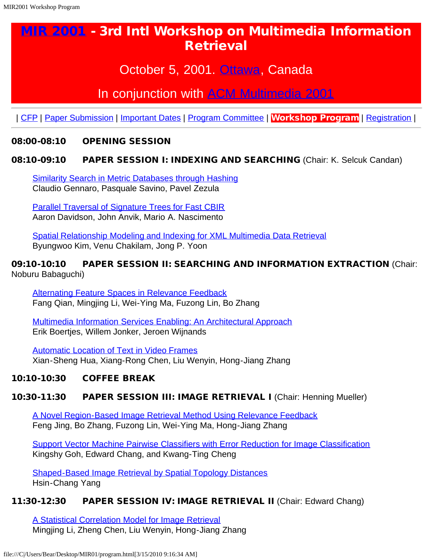## October 5, 2001. [Ottawa,](javascript:if(confirm() Canada

## In conjunction with [ACM Multimedia 2001](javascript:if(confirm()

<span id="page-3-0"></span>| [CFP](#page-3-0) | [Paper Submission](#page-3-0) | [Important Dates](#page-3-0) | [Program Committee](#page-3-0) | Workshop Program | [Registration](javascript:if(confirm() |

#### 08:00-08:10 OPENING SESSION

#### 08:10-09:10 PAPER SESSION I: INDEXING AND SEARCHING (Chair: K. Selcuk Candan)

[Similarity Search in Metric Databases through Hashing](#page-5-0) Claudio Gennaro, Pasquale Savino, Pavel Zezula

[Parallel Traversal of Signature Trees for Fast CBIR](#page-6-0) Aaron Davidson, John Anvik, Mario A. Nascimento

[Spatial Relationship Modeling and Indexing for XML Multimedia Data Retrieval](#page-7-0) Byungwoo Kim, Venu Chakilam, Jong P. Yoon

#### 09:10-10:10 PAPER SESSION II: SEARCHING AND INFORMATION EXTRACTION (Chair: Noburu Babaguchi)

[Alternating Feature Spaces in Relevance Feedback](#page-8-0) Fang Qian, Mingjing Li, Wei-Ying Ma, Fuzong Lin, Bo Zhang

[Multimedia Information Services Enabling: An Architectural Approach](#page-9-0) Erik Boertjes, Willem Jonker, Jeroen Wijnands

[Automatic Location of Text in Video Frames](#page-10-0) Xian-Sheng Hua, Xiang-Rong Chen, Liu Wenyin, Hong-Jiang Zhang

#### 10:10-10:30 COFFEE BREAK

#### 10:30-11:30 PAPER SESSION III: IMAGE RETRIEVAL I (Chair: Henning Mueller)

[A Novel Region-Based Image Retrieval Method Using Relevance Feedback](#page-11-0) Feng Jing, Bo Zhang, Fuzong Lin, Wei-Ying Ma, Hong-Jiang Zhang

[Support Vector Machine Pairwise Classifiers with Error Reduction for Image Classification](#page-12-0) Kingshy Goh, Edward Chang, and Kwang-Ting Cheng

[Shaped-Based Image Retrieval by Spatial Topology Distances](#page-13-0) Hsin-Chang Yang

#### 11:30-12:30 PAPER SESSION IV: IMAGE RETRIEVAL II (Chair: Edward Chang)

[A Statistical Correlation Model for Image Retrieval](#page-14-0) Mingjing Li, Zheng Chen, Liu Wenyin, Hong-Jiang Zhang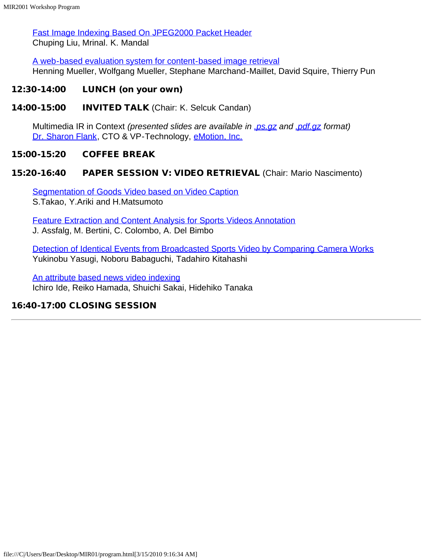[Fast Image Indexing Based On JPEG2000 Packet Header](#page-15-0) Chuping Liu, Mrinal. K. Mandal

[A web-based evaluation system for content-based image retrieval](#page-16-0) Henning Mueller, Wolfgang Mueller, Stephane Marchand-Maillet, David Squire, Thierry Pun

#### 12:30-14:00 LUNCH (on your own)

14:00-15:00 INVITED TALK (Chair: K. Selcuk Candan)

Multimedia IR in Context *(presented slides are available in [.ps.gz](file:///C|/Users/Bear/Desktop/MIR01/flank.ps.gz) and [.pdf.gz](file:///C|/Users/Bear/Desktop/MIR01/flank.pdf.gz) format)* [Dr. Sharon Flank,](javascript:if(confirm() CTO & VP-Technology, [eMotion, Inc.](javascript:if(confirm()

#### 15:00-15:20 COFFEE BREAK

#### 15:20-16:40 PAPER SESSION V: VIDEO RETRIEVAL (Chair: Mario Nascimento)

[Segmentation of Goods Video based on Video Caption](#page-17-0) S.Takao, Y.Ariki and H.Matsumoto

[Feature Extraction and Content Analysis for Sports Videos Annotation](#page-18-0) J. Assfalg, M. Bertini, C. Colombo, A. Del Bimbo

[Detection of Identical Events from Broadcasted Sports Video by Comparing Camera Works](#page-19-0) Yukinobu Yasugi, Noboru Babaguchi, Tadahiro Kitahashi

[An attribute based news video indexing](#page-20-0) Ichiro Ide, Reiko Hamada, Shuichi Sakai, Hidehiko Tanaka

#### 16:40-17:00 CLOSING SESSION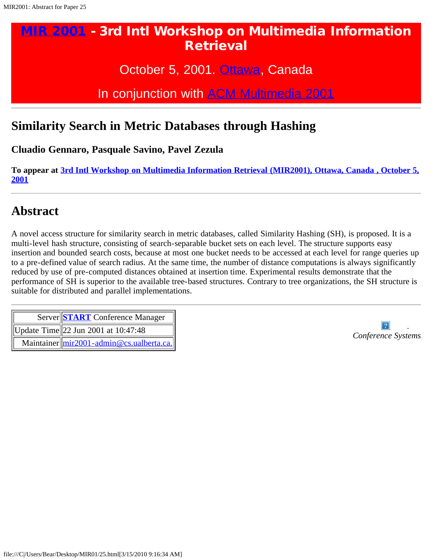October 5, 2001. [Ottawa,](javascript:if(confirm() Canada

In conjunction with [ACM Multimedia 2001](javascript:if(confirm()

## <span id="page-5-0"></span>**Similarity Search in Metric Databases through Hashing**

**Cluadio Gennaro, Pasquale Savino, Pavel Zezula**

**To appear at [3rd Intl Workshop on Multimedia Information Retrieval \(MIR2001\), Ottawa, Canada , October 5,](#page-0-1) [2001](#page-0-1)**

## **Abstract**

A novel access structure for similarity search in metric databases, called Similarity Hashing (SH), is proposed. It is a multi-level hash structure, consisting of search-separable bucket sets on each level. The structure supports easy insertion and bounded search costs, because at most one bucket needs to be accessed at each level for range queries up to a pre-defined value of search radius. At the same time, the number of distance computations is always significantly reduced by use of pre-computed distances obtained at insertion time. Experimental results demonstrate that the performance of SH is superior to the available tree-based structures. Contrary to tree organizations, the SH structure is suitable for distributed and parallel implementations.

| Server START Conference Manager                     |
|-----------------------------------------------------|
| Update Time  22 Jun 2001 at $10:47:48$              |
| Maintainer $\text{Imir2001}$ -admin@cs.ualberta.ca. |

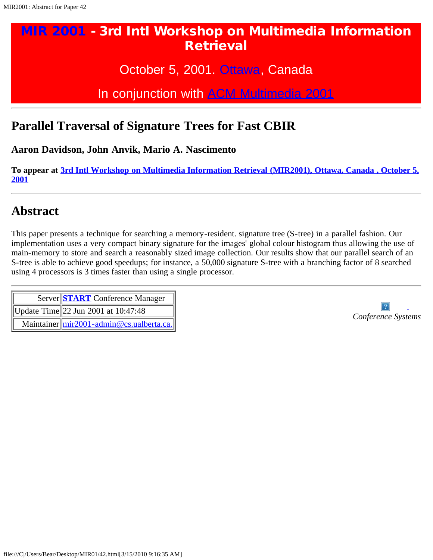October 5, 2001. [Ottawa,](javascript:if(confirm() Canada

In conjunction with [ACM Multimedia 2001](javascript:if(confirm()

## <span id="page-6-0"></span>**Parallel Traversal of Signature Trees for Fast CBIR**

**Aaron Davidson, John Anvik, Mario A. Nascimento**

**To appear at [3rd Intl Workshop on Multimedia Information Retrieval \(MIR2001\), Ottawa, Canada , October 5,](#page-0-1) [2001](#page-0-1)**

## **Abstract**

This paper presents a technique for searching a memory-resident. signature tree (S-tree) in a parallel fashion. Our implementation uses a very compact binary signature for the images' global colour histogram thus allowing the use of main-memory to store and search a reasonably sized image collection. Our results show that our parallel search of an S-tree is able to achieve good speedups; for instance, a 50,000 signature S-tree with a branching factor of 8 searched using 4 processors is 3 times faster than using a single processor.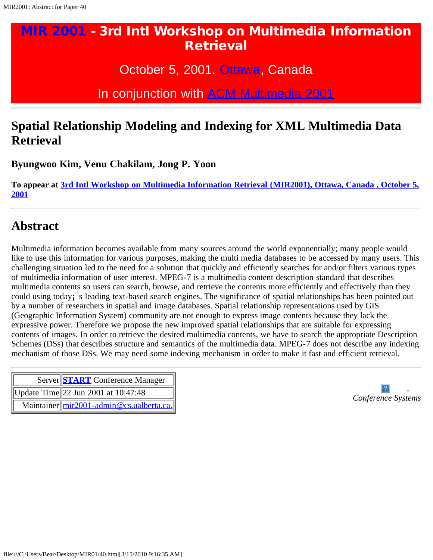October 5, 2001. [Ottawa,](javascript:if(confirm() Canada

In conjunction with [ACM Multimedia 2001](javascript:if(confirm()

## <span id="page-7-0"></span>**Spatial Relationship Modeling and Indexing for XML Multimedia Data Retrieval**

**Byungwoo Kim, Venu Chakilam, Jong P. Yoon**

**To appear at [3rd Intl Workshop on Multimedia Information Retrieval \(MIR2001\), Ottawa, Canada , October 5,](#page-0-1) [2001](#page-0-1)**

## **Abstract**

Multimedia information becomes available from many sources around the world exponentially; many people would like to use this information for various purposes, making the multi media databases to be accessed by many users. This challenging situation led to the need for a solution that quickly and efficiently searches for and/or filters various types of multimedia information of user interest. MPEG-7 is a multimedia content description standard that describes multimedia contents so users can search, browse, and retrieve the contents more efficiently and effectively than they could using today¡¯s leading text-based search engines. The significance of spatial relationships has been pointed out by a number of researchers in spatial and image databases. Spatial relationship representations used by GIS (Geographic Information System) community are not enough to express image contents because they lack the expressive power. Therefore we propose the new improved spatial relationships that are suitable for expressing contents of images. In order to retrieve the desired multimedia contents, we have to search the appropriate Description Schemes (DSs) that describes structure and semantics of the multimedia data. MPEG-7 does not describe any indexing mechanism of those DSs. We may need some indexing mechanism in order to make it fast and efficient retrieval.

|  | Server START Conference Manager                      |
|--|------------------------------------------------------|
|  | Update Time  22 Jun 2001 at $10:47:48$               |
|  | Maintainer $\text{Imir2001}$ -admin @cs.ualberta.ca. |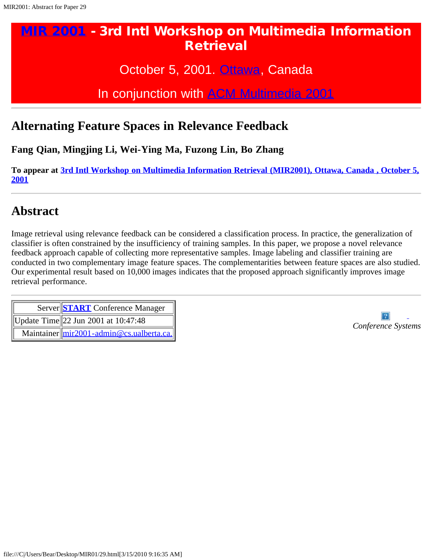October 5, 2001. [Ottawa,](javascript:if(confirm() Canada

In conjunction with [ACM Multimedia 2001](javascript:if(confirm()

#### <span id="page-8-0"></span>**Alternating Feature Spaces in Relevance Feedback**

**Fang Qian, Mingjing Li, Wei-Ying Ma, Fuzong Lin, Bo Zhang**

**To appear at [3rd Intl Workshop on Multimedia Information Retrieval \(MIR2001\), Ottawa, Canada , October 5,](#page-0-1) [2001](#page-0-1)**

### **Abstract**

Image retrieval using relevance feedback can be considered a classification process. In practice, the generalization of classifier is often constrained by the insufficiency of training samples. In this paper, we propose a novel relevance feedback approach capable of collecting more representative samples. Image labeling and classifier training are conducted in two complementary image feature spaces. The complementarities between feature spaces are also studied. Our experimental result based on 10,000 images indicates that the proposed approach significantly improves image retrieval performance.

| Server START Conference Manager                     |
|-----------------------------------------------------|
| Update Time  22 Jun 2001 at $10:47:48$              |
| Maintainer $\text{Imir2001}$ -admin@cs.ualberta.ca. |

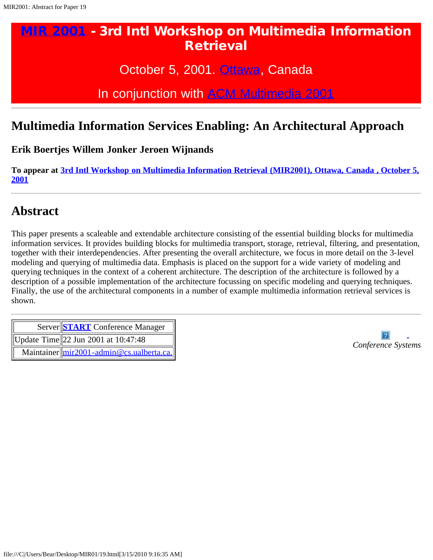October 5, 2001. [Ottawa,](javascript:if(confirm() Canada

In conjunction with [ACM Multimedia 2001](javascript:if(confirm()

## <span id="page-9-0"></span>**Multimedia Information Services Enabling: An Architectural Approach**

**Erik Boertjes Willem Jonker Jeroen Wijnands**

**To appear at [3rd Intl Workshop on Multimedia Information Retrieval \(MIR2001\), Ottawa, Canada , October 5,](#page-0-1) [2001](#page-0-1)**

## **Abstract**

This paper presents a scaleable and extendable architecture consisting of the essential building blocks for multimedia information services. It provides building blocks for multimedia transport, storage, retrieval, filtering, and presentation, together with their interdependencies. After presenting the overall architecture, we focus in more detail on the 3-level modeling and querying of multimedia data. Emphasis is placed on the support for a wide variety of modeling and querying techniques in the context of a coherent architecture. The description of the architecture is followed by a description of a possible implementation of the architecture focussing on specific modeling and querying techniques. Finally, the use of the architectural components in a number of example multimedia information retrieval services is shown.

| Server START Conference Manager<br>  Update Time  22 Jun 2001 at $10:47:48$ |
|-----------------------------------------------------------------------------|
| Maintainer $\text{Imir2001}$ -admin@cs.ualberta.ca.                         |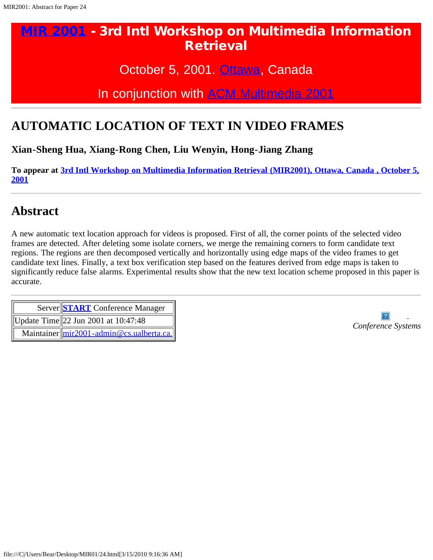## October 5, 2001. [Ottawa,](javascript:if(confirm() Canada

## In conjunction with [ACM Multimedia 2001](javascript:if(confirm()

## <span id="page-10-0"></span>**AUTOMATIC LOCATION OF TEXT IN VIDEO FRAMES**

**Xian-Sheng Hua, Xiang-Rong Chen, Liu Wenyin, Hong-Jiang Zhang**

**To appear at [3rd Intl Workshop on Multimedia Information Retrieval \(MIR2001\), Ottawa, Canada , October 5,](#page-0-1) [2001](#page-0-1)**

## **Abstract**

A new automatic text location approach for videos is proposed. First of all, the corner points of the selected video frames are detected. After deleting some isolate corners, we merge the remaining corners to form candidate text regions. The regions are then decomposed vertically and horizontally using edge maps of the video frames to get candidate text lines. Finally, a text box verification step based on the features derived from edge maps is taken to significantly reduce false alarms. Experimental results show that the new text location scheme proposed in this paper is accurate.

| Server START Conference Manager                     |                    |
|-----------------------------------------------------|--------------------|
| Update Time  22 Jun 2001 at $10:47:48$              | Conference Systems |
| Maintainer $\text{Imir2001}$ -admin@cs.ualberta.ca. |                    |

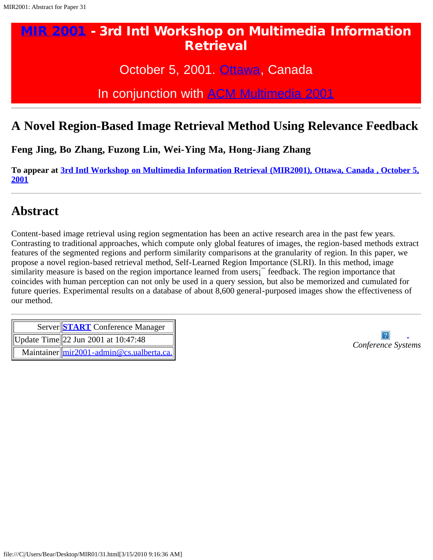October 5, 2001. [Ottawa,](javascript:if(confirm() Canada

In conjunction with [ACM Multimedia 2001](javascript:if(confirm()

### <span id="page-11-0"></span>**A Novel Region-Based Image Retrieval Method Using Relevance Feedback**

**Feng Jing, Bo Zhang, Fuzong Lin, Wei-Ying Ma, Hong-Jiang Zhang**

**To appear at [3rd Intl Workshop on Multimedia Information Retrieval \(MIR2001\), Ottawa, Canada , October 5,](#page-0-1) [2001](#page-0-1)**

#### **Abstract**

Content-based image retrieval using region segmentation has been an active research area in the past few years. Contrasting to traditional approaches, which compute only global features of images, the region-based methods extract features of the segmented regions and perform similarity comparisons at the granularity of region. In this paper, we propose a novel region-based retrieval method, Self-Learned Region Importance (SLRI). In this method, image similarity measure is based on the region importance learned from users<sup>1</sup> feedback. The region importance that coincides with human perception can not only be used in a query session, but also be memorized and cumulated for future queries. Experimental results on a database of about 8,600 general-purposed images show the effectiveness of our method.

| Server START Conference Manager<br>  Update Time  22 Jun 2001 at $10:47:48$ |
|-----------------------------------------------------------------------------|
| Maintainer $\text{Imir2001}$ -admin @cs.ualberta.ca.                        |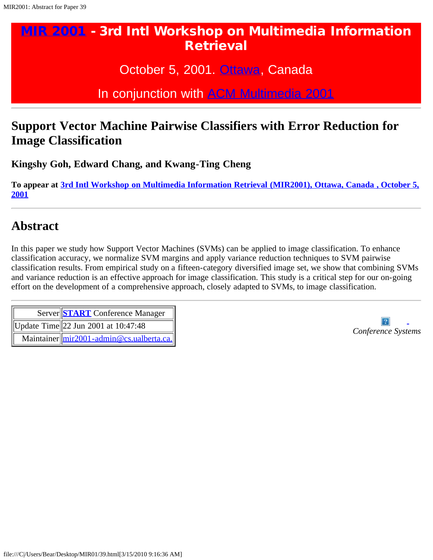October 5, 2001. [Ottawa,](javascript:if(confirm() Canada

In conjunction with [ACM Multimedia 2001](javascript:if(confirm()

## <span id="page-12-0"></span>**Support Vector Machine Pairwise Classifiers with Error Reduction for Image Classification**

**Kingshy Goh, Edward Chang, and Kwang-Ting Cheng**

**To appear at [3rd Intl Workshop on Multimedia Information Retrieval \(MIR2001\), Ottawa, Canada , October 5,](#page-0-1) [2001](#page-0-1)**

## **Abstract**

In this paper we study how Support Vector Machines (SVMs) can be applied to image classification. To enhance classification accuracy, we normalize SVM margins and apply variance reduction techniques to SVM pairwise classification results. From empirical study on a fifteen-category diversified image set, we show that combining SVMs and variance reduction is an effective approach for image classification. This study is a critical step for our on-going effort on the development of a comprehensive approach, closely adapted to SVMs, to image classification.

| Server START Conference Manager                     |
|-----------------------------------------------------|
| Update Time  22 Jun 2001 at $10:47:48$              |
| Maintainer $\text{Imir2001}$ -admin@cs.ualberta.ca. |

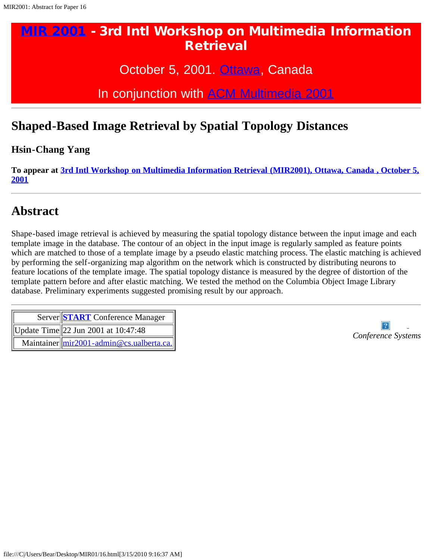October 5, 2001. [Ottawa,](javascript:if(confirm() Canada

In conjunction with [ACM Multimedia 2001](javascript:if(confirm()

## <span id="page-13-0"></span>**Shaped-Based Image Retrieval by Spatial Topology Distances**

#### **Hsin-Chang Yang**

**To appear at [3rd Intl Workshop on Multimedia Information Retrieval \(MIR2001\), Ottawa, Canada , October 5,](#page-0-1) [2001](#page-0-1)**

## **Abstract**

Shape-based image retrieval is achieved by measuring the spatial topology distance between the input image and each template image in the database. The contour of an object in the input image is regularly sampled as feature points which are matched to those of a template image by a pseudo elastic matching process. The elastic matching is achieved by performing the self-organizing map algorithm on the network which is constructed by distributing neurons to feature locations of the template image. The spatial topology distance is measured by the degree of distortion of the template pattern before and after elastic matching. We tested the method on the Columbia Object Image Library database. Preliminary experiments suggested promising result by our approach.

| Server START Conference Manager                      |
|------------------------------------------------------|
| Update Time  22 Jun 2001 at $10:47:48$               |
| Maintainer $\text{Imir2001}$ -admin @cs.ualberta.ca. |

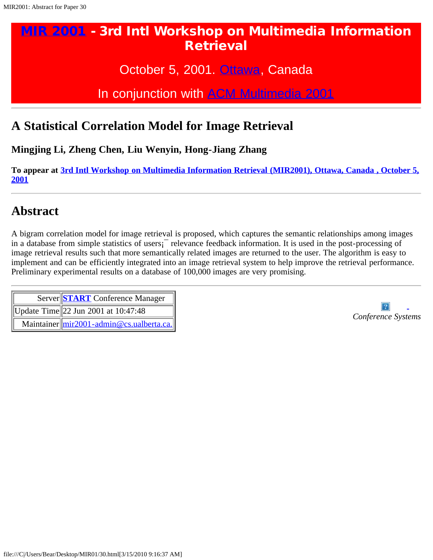October 5, 2001. [Ottawa,](javascript:if(confirm() Canada

In conjunction with [ACM Multimedia 2001](javascript:if(confirm()

## <span id="page-14-0"></span>**A Statistical Correlation Model for Image Retrieval**

**Mingjing Li, Zheng Chen, Liu Wenyin, Hong-Jiang Zhang**

**To appear at [3rd Intl Workshop on Multimedia Information Retrieval \(MIR2001\), Ottawa, Canada , October 5,](#page-0-1) [2001](#page-0-1)**

## **Abstract**

A bigram correlation model for image retrieval is proposed, which captures the semantic relationships among images in a database from simple statistics of users¡¯ relevance feedback information. It is used in the post-processing of image retrieval results such that more semantically related images are returned to the user. The algorithm is easy to implement and can be efficiently integrated into an image retrieval system to help improve the retrieval performance. Preliminary experimental results on a database of 100,000 images are very promising.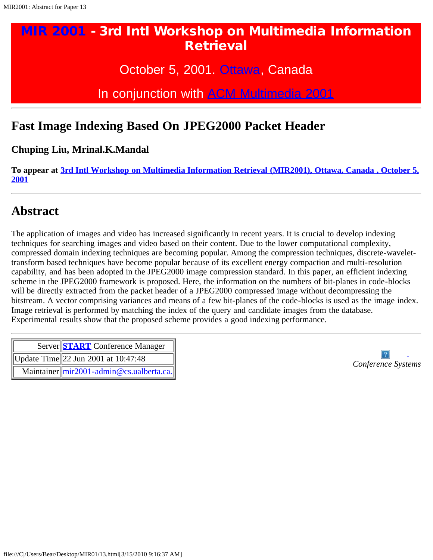October 5, 2001. [Ottawa,](javascript:if(confirm() Canada

In conjunction with [ACM Multimedia 2001](javascript:if(confirm()

## <span id="page-15-0"></span>**Fast Image Indexing Based On JPEG2000 Packet Header**

**Chuping Liu, Mrinal.K.Mandal**

**To appear at [3rd Intl Workshop on Multimedia Information Retrieval \(MIR2001\), Ottawa, Canada , October 5,](#page-0-1) [2001](#page-0-1)**

### **Abstract**

The application of images and video has increased significantly in recent years. It is crucial to develop indexing techniques for searching images and video based on their content. Due to the lower computational complexity, compressed domain indexing techniques are becoming popular. Among the compression techniques, discrete-wavelettransform based techniques have become popular because of its excellent energy compaction and multi-resolution capability, and has been adopted in the JPEG2000 image compression standard. In this paper, an efficient indexing scheme in the JPEG2000 framework is proposed. Here, the information on the numbers of bit-planes in code-blocks will be directly extracted from the packet header of a JPEG2000 compressed image without decompressing the bitstream. A vector comprising variances and means of a few bit-planes of the code-blocks is used as the image index. Image retrieval is performed by matching the index of the query and candidate images from the database. Experimental results show that the proposed scheme provides a good indexing performance.

| Server START Conference Manager                     |                    |  |  |  |  |
|-----------------------------------------------------|--------------------|--|--|--|--|
| Update Time  22 Jun 2001 at $10:47:48$              | Conference Systems |  |  |  |  |
| Maintainer $\text{Imir2001}$ -admin@cs.ualberta.ca. |                    |  |  |  |  |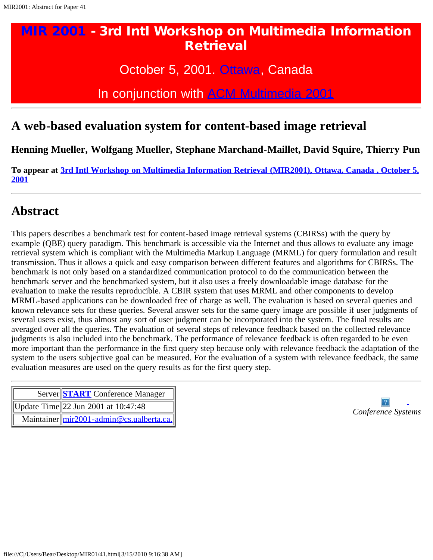October 5, 2001. [Ottawa,](javascript:if(confirm() Canada

In conjunction with [ACM Multimedia 2001](javascript:if(confirm()

#### <span id="page-16-0"></span>**A web-based evaluation system for content-based image retrieval**

**Henning Mueller, Wolfgang Mueller, Stephane Marchand-Maillet, David Squire, Thierry Pun**

**To appear at [3rd Intl Workshop on Multimedia Information Retrieval \(MIR2001\), Ottawa, Canada , October 5,](#page-0-1) [2001](#page-0-1)**

## **Abstract**

This papers describes a benchmark test for content-based image retrieval systems (CBIRSs) with the query by example (QBE) query paradigm. This benchmark is accessible via the Internet and thus allows to evaluate any image retrieval system which is compliant with the Multimedia Markup Language (MRML) for query formulation and result transmission. Thus it allows a quick and easy comparison between different features and algorithms for CBIRSs. The benchmark is not only based on a standardized communication protocol to do the communication between the benchmark server and the benchmarked system, but it also uses a freely downloadable image database for the evaluation to make the results reproducible. A CBIR system that uses MRML and other components to develop MRML-based applications can be downloaded free of charge as well. The evaluation is based on several queries and known relevance sets for these queries. Several answer sets for the same query image are possible if user judgments of several users exist, thus almost any sort of user judgment can be incorporated into the system. The final results are averaged over all the queries. The evaluation of several steps of relevance feedback based on the collected relevance judgments is also included into the benchmark. The performance of relevance feedback is often regarded to be even more important than the performance in the first query step because only with relevance feedback the adaptation of the system to the users subjective goal can be measured. For the evaluation of a system with relevance feedback, the same evaluation measures are used on the query results as for the first query step.

|  | Server START Conference Manager                           |
|--|-----------------------------------------------------------|
|  | Update Time  22 Jun 2001 at $10:47:48$                    |
|  | Maintainer $\lim_{z \to 0} 2001$ - admin @cs.ualberta.ca. |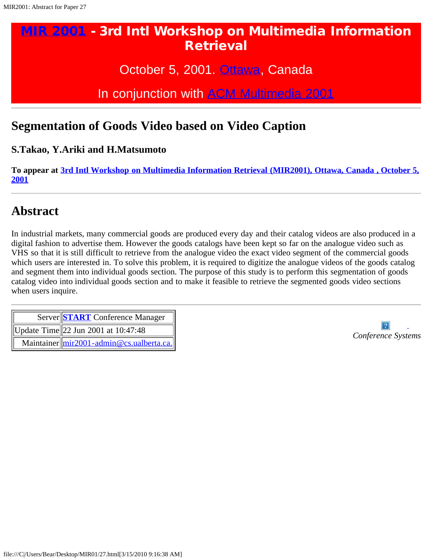October 5, 2001. [Ottawa,](javascript:if(confirm() Canada

In conjunction with [ACM Multimedia 2001](javascript:if(confirm()

### <span id="page-17-0"></span>**Segmentation of Goods Video based on Video Caption**

**S.Takao, Y.Ariki and H.Matsumoto**

**To appear at [3rd Intl Workshop on Multimedia Information Retrieval \(MIR2001\), Ottawa, Canada , October 5,](#page-0-1) [2001](#page-0-1)**

## **Abstract**

In industrial markets, many commercial goods are produced every day and their catalog videos are also produced in a digital fashion to advertise them. However the goods catalogs have been kept so far on the analogue video such as VHS so that it is still difficult to retrieve from the analogue video the exact video segment of the commercial goods which users are interested in. To solve this problem, it is required to digitize the analogue videos of the goods catalog and segment them into individual goods section. The purpose of this study is to perform this segmentation of goods catalog video into individual goods section and to make it feasible to retrieve the segmented goods video sections when users inquire.

| Server START Conference Manager<br>  Update Time  22 Jun 2001 at $10:47:48$ |
|-----------------------------------------------------------------------------|
| Maintainer $\ mir2001 - \text{admin}\omega$ cs.ualberta.ca.                 |

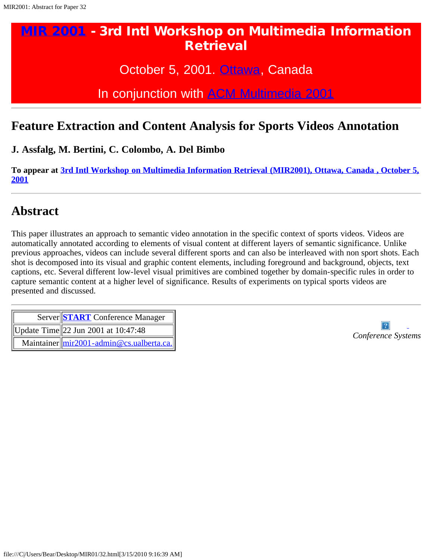October 5, 2001. [Ottawa,](javascript:if(confirm() Canada

In conjunction with [ACM Multimedia 2001](javascript:if(confirm()

#### <span id="page-18-0"></span>**Feature Extraction and Content Analysis for Sports Videos Annotation**

**J. Assfalg, M. Bertini, C. Colombo, A. Del Bimbo**

**To appear at [3rd Intl Workshop on Multimedia Information Retrieval \(MIR2001\), Ottawa, Canada , October 5,](#page-0-1) [2001](#page-0-1)**

## **Abstract**

This paper illustrates an approach to semantic video annotation in the specific context of sports videos. Videos are automatically annotated according to elements of visual content at different layers of semantic significance. Unlike previous approaches, videos can include several different sports and can also be interleaved with non sport shots. Each shot is decomposed into its visual and graphic content elements, including foreground and background, objects, text captions, etc. Several different low-level visual primitives are combined together by domain-specific rules in order to capture semantic content at a higher level of significance. Results of experiments on typical sports videos are presented and discussed.

| Server START Conference Manager                                                                                                                             |
|-------------------------------------------------------------------------------------------------------------------------------------------------------------|
| Update Time  22 Jun 2001 at $10:47:48$                                                                                                                      |
| Maintainer $\frac{m r 2001 - \text{ad} \cdot m \omega}{\text{c} \cdot \text{c} \cdot \text{c} \cdot \text{c} \cdot \text{c} \cdot \text{d} \cdot \text{c}}$ |

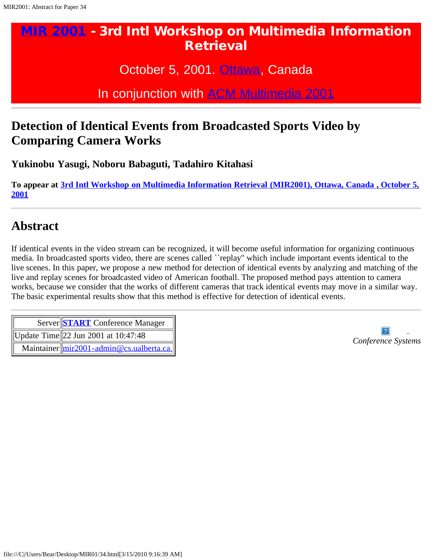October 5, 2001. [Ottawa,](javascript:if(confirm() Canada

In conjunction with [ACM Multimedia 2001](javascript:if(confirm()

## <span id="page-19-0"></span>**Detection of Identical Events from Broadcasted Sports Video by Comparing Camera Works**

**Yukinobu Yasugi, Noboru Babaguti, Tadahiro Kitahasi**

**To appear at [3rd Intl Workshop on Multimedia Information Retrieval \(MIR2001\), Ottawa, Canada , October 5,](#page-0-1) [2001](#page-0-1)**

## **Abstract**

If identical events in the video stream can be recognized, it will become useful information for organizing continuous media. In broadcasted sports video, there are scenes called ``replay'' which include important events identical to the live scenes. In this paper, we propose a new method for detection of identical events by analyzing and matching of the live and replay scenes for broadcasted video of American football. The proposed method pays attention to camera works, because we consider that the works of different cameras that track identical events may move in a similar way. The basic experimental results show that this method is effective for detection of identical events.

| Server START Conference Manager                     |
|-----------------------------------------------------|
| Update Time  22 Jun 2001 at $10:47:48$              |
| Maintainer $\text{Imir2001}$ -admin@cs.ualberta.ca. |